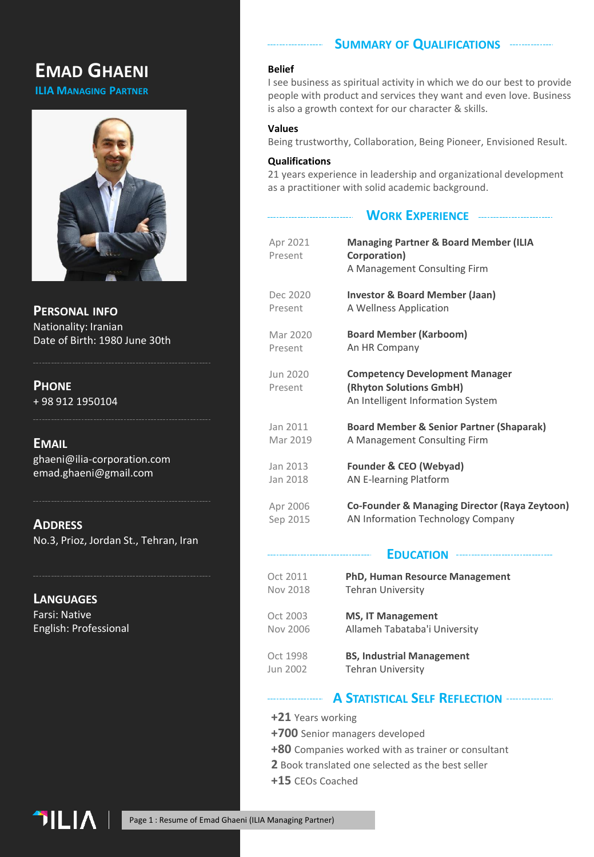# **EMAD GHAENI**

**ILIA MANAGING PARTNER**



**PERSONAL INFO** Nationality: Iranian Date of Birth: 1980 June 30th

# **PHONE**

+ 98 912 1950104

# **EMAIL**

ghaeni@ilia-corporation.com emad.ghaeni@gmail.com

**ADDRESS** No.3, Prioz, Jordan St., Tehran, Iran

**LANGUAGES** Farsi: Native English: Professional

#### **SUMMARY OF QUALIFICATIONS**

#### **Belief**

I see business as spiritual activity in which we do our best to provide people with product and services they want and even love. Business is also a growth context for our character & skills.

### **Values**

Being trustworthy, Collaboration, Being Pioneer, Envisioned Result.

### **Qualifications**

21 years experience in leadership and organizational development as a practitioner with solid academic background.

**WORK EXPERIENCE**

| Apr 2021<br>Present | <b>Managing Partner &amp; Board Member (ILIA</b><br>Corporation)<br>A Management Consulting Firm      |
|---------------------|-------------------------------------------------------------------------------------------------------|
| Dec 2020            | <b>Investor &amp; Board Member (Jaan)</b>                                                             |
| Present             | A Wellness Application                                                                                |
| Mar 2020            | <b>Board Member (Karboom)</b>                                                                         |
| Present             | An HR Company                                                                                         |
| Jun 2020<br>Present | <b>Competency Development Manager</b><br>(Rhyton Solutions GmbH)<br>An Intelligent Information System |
| Jan 2011            | <b>Board Member &amp; Senior Partner (Shaparak)</b>                                                   |
| Mar 2019            | A Management Consulting Firm                                                                          |
| Jan 2013            | Founder & CEO (Webyad)                                                                                |
| Jan 2018            | <b>AN E-learning Platform</b>                                                                         |
| Apr 2006            | <b>Co-Founder &amp; Managing Director (Raya Zeytoon)</b>                                              |
| Sep 2015            | AN Information Technology Company                                                                     |
|                     |                                                                                                       |

### **EDUCATION**

Oct 2011 Nov 2018 **PhD, Human Resource Management** Tehran University

#### Oct 2003 Nov 2006 **MS, IT Management** Allameh Tabataba'i University

#### Oct 1998 Jun 2002 **BS, Industrial Management** Tehran University

## **A STATISTICAL SELF REFLECTION**

- **+21** Years working
- **+700** Senior managers developed
- **+80** Companies worked with as trainer or consultant
- **2** Book translated one selected as the best seller
- **+15** CEOs Coached

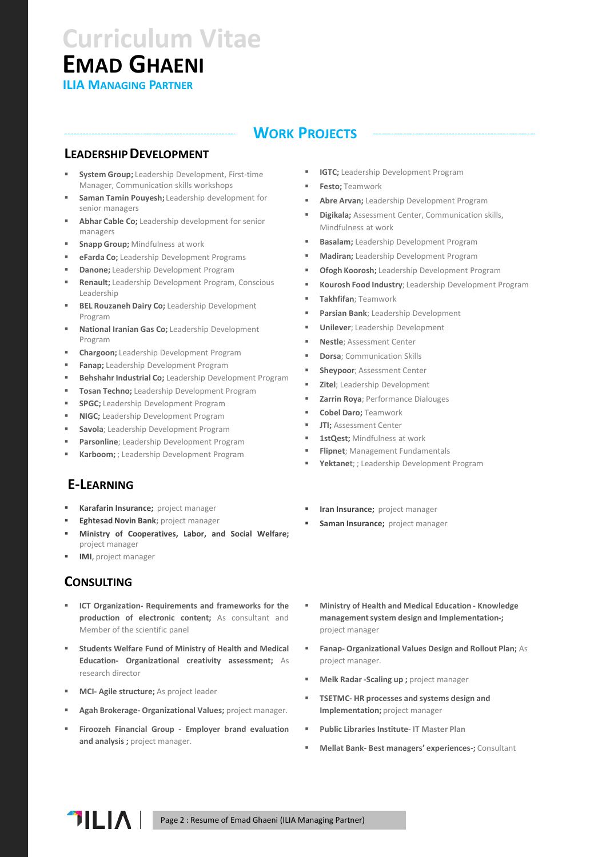# **EMAD GHAENI ILIA MANAGING PARTNER Curriculum Vitae**

# **WORK PROJECTS**

# **LEADERSHIPDEVELOPMENT**

- **System Group;** Leadership Development, First-time Manager, Communication skills workshops
- Saman Tamin Pouyesh; Leadership development for senior managers
- Abhar Cable Co; Leadership development for senior managers
- **Snapp Group; Mindfulness at work**
- **eFarda Co;** Leadership Development Programs
- **Danone;** Leadership Development Program
- **Renault;** Leadership Development Program, Conscious Leadership
- **BEL Rouzaneh Dairy Co; Leadership Development** Program
- National Iranian Gas Co; Leadership Development Program
- **Chargoon;** Leadership Development Program
- **Fanap;** Leadership Development Program
- **Behshahr Industrial Co;** Leadership Development Program
- **Tosan Techno;** Leadership Development Program
- **SPGC;** Leadership Development Program
- **NIGC;** Leadership Development Program
- Savola; Leadership Development Program
- Parsonline; Leadership Development Program
- **Karboom;** ; Leadership Development Program

# **E-LEARNING**

- **Karafarin Insurance;** project manager
- **Eghtesad Novin Bank; project manager**
- **Ministry of Cooperatives, Labor, and Social Welfare;** project manager
- **IMI**, project manager

# **CONSULTING**

- **ICT Organization- Requirements and frameworks for the production of electronic content;** As consultant and Member of the scientific panel
- **Students Welfare Fund of Ministry of Health and Medical Education- Organizational creativity assessment;** As research director
- **MCI- Agile structure;** As project leader
- **Agah Brokerage- Organizational Values;** project manager.
- **Firoozeh Financial Group - Employer brand evaluation and analysis ;** project manager.
- **IGTC;** Leadership Development Program
- **Festo:** Teamwork
- **Abre Arvan:** Leadership Development Program
- **Digikala;** Assessment Center, Communication skills, Mindfulness at work
- **Basalam;** Leadership Development Program
- **Madiran;** Leadership Development Program
- Ofogh Koorosh; Leadership Development Program
- **Kourosh Food Industry**; Leadership Development Program
- **Takhfifan**; Teamwork
- **Parsian Bank**; Leadership Development
- **Unilever**; Leadership Development
- **Nestle**; Assessment Center
- **Dorsa**; Communication Skills
- **Sheypoor**; Assessment Center
- **Zitel**; Leadership Development
- **Zarrin Roya**; Performance Dialouges
- **Cobel Daro;** Teamwork
- **JTI: Assessment Center**
- 1stOest: Mindfulness at work
- **Flipnet**; Management Fundamentals
- Yektanet; ; Leadership Development Program
- **Iran Insurance;** project manager
- **Saman Insurance;** project manager
- **Ministry of Health and Medical Education - Knowledge management system design and Implementation-;**  project manager
- **Fanap- Organizational Values Design and Rollout Plan;** As project manager.
- **Melk Radar -Scaling up** ; project manager
- **TSETMC- HR processes and systems design and Implementation;** project manager
- **Public Libraries Institute- IT Master Plan**
- **Mellat Bank- Best managers' experiences-;** Consultant